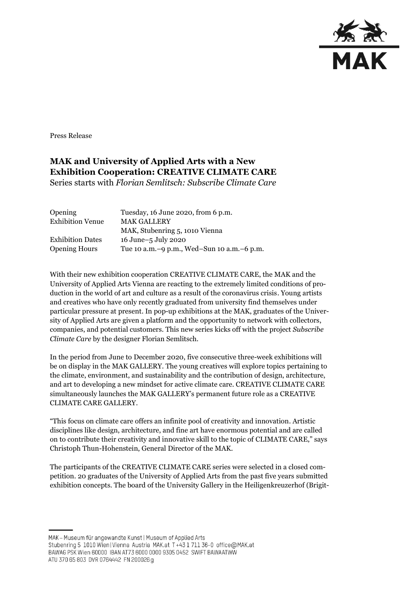

Press Release

## **MAK and University of Applied Arts with a New Exhibition Cooperation: CREATIVE CLIMATE CARE**

Series starts with *Florian Semlitsch: Subscribe Climate Care*

| <b>Opening</b>          | Tuesday, 16 June 2020, from 6 p.m.           |
|-------------------------|----------------------------------------------|
| <b>Exhibition Venue</b> | <b>MAK GALLERY</b>                           |
|                         | MAK, Stubenring 5, 1010 Vienna               |
| <b>Exhibition Dates</b> | 16 June-5 July 2020                          |
| <b>Opening Hours</b>    | Tue 10 a.m. -9 p.m., Wed-Sun 10 a.m. -6 p.m. |

With their new exhibition cooperation CREATIVE CLIMATE CARE, the MAK and the University of Applied Arts Vienna are reacting to the extremely limited conditions of production in the world of art and culture as a result of the coronavirus crisis. Young artists and creatives who have only recently graduated from university find themselves under particular pressure at present. In pop-up exhibitions at the MAK, graduates of the University of Applied Arts are given a platform and the opportunity to network with collectors, companies, and potential customers. This new series kicks off with the project *Subscribe Climate Care* by the designer Florian Semlitsch.

In the period from June to December 2020, five consecutive three-week exhibitions will be on display in the MAK GALLERY. The young creatives will explore topics pertaining to the climate, environment, and sustainability and the contribution of design, architecture, and art to developing a new mindset for active climate care. CREATIVE CLIMATE CARE simultaneously launches the MAK GALLERY's permanent future role as a CREATIVE CLIMATE CARE GALLERY.

"This focus on climate care offers an infinite pool of creativity and innovation. Artistic disciplines like design, architecture, and fine art have enormous potential and are called on to contribute their creativity and innovative skill to the topic of CLIMATE CARE," says Christoph Thun-Hohenstein, General Director of the MAK.

The participants of the CREATIVE CLIMATE CARE series were selected in a closed competition. 20 graduates of the University of Applied Arts from the past five years submitted exhibition concepts. The board of the University Gallery in the Heiligenkreuzerhof (Brigit-

MAK - Museum für angewandte Kunst | Museum of Applied Arts

ATU 370 65 803 DVR 0764442 FN 200026 g

Stubenring 5 1010 Wien | Vienna Austria MAK.at T+43 1 711 36-0 office@MAK.at

BAWAG PSK Wien 60000 IBAN AT73 6000 0000 9305 0452 SWIFT BAWAATWW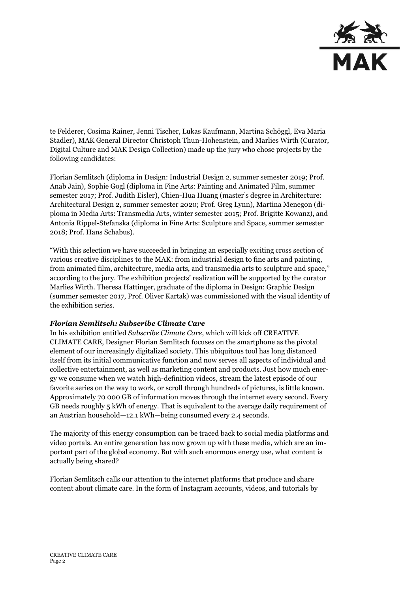

te Felderer, Cosima Rainer, Jenni Tischer, Lukas Kaufmann, Martina Schöggl, Eva Maria Stadler), MAK General Director Christoph Thun-Hohenstein, and Marlies Wirth (Curator, Digital Culture and MAK Design Collection) made up the jury who chose projects by the following candidates:

Florian Semlitsch (diploma in Design: Industrial Design 2, summer semester 2019; Prof. Anab Jain), Sophie Gogl (diploma in Fine Arts: Painting and Animated Film, summer semester 2017; Prof. Judith Eisler), Chien-Hua Huang (master's degree in Architecture: Architectural Design 2, summer semester 2020; Prof. Greg Lynn), Martina Menegon (diploma in Media Arts: Transmedia Arts, winter semester 2015; Prof. Brigitte Kowanz), and Antonia Rippel-Stefanska (diploma in Fine Arts: Sculpture and Space, summer semester 2018; Prof. Hans Schabus).

"With this selection we have succeeded in bringing an especially exciting cross section of various creative disciplines to the MAK: from industrial design to fine arts and painting, from animated film, architecture, media arts, and transmedia arts to sculpture and space," according to the jury. The exhibition projects' realization will be supported by the curator Marlies Wirth. Theresa Hattinger, graduate of the diploma in Design: Graphic Design (summer semester 2017, Prof. Oliver Kartak) was commissioned with the visual identity of the exhibition series.

## *Florian Semlitsch: Subscribe Climate Care*

In his exhibition entitled *Subscribe Climate Care*, which will kick off CREATIVE CLIMATE CARE, Designer Florian Semlitsch focuses on the smartphone as the pivotal element of our increasingly digitalized society. This ubiquitous tool has long distanced itself from its initial communicative function and now serves all aspects of individual and collective entertainment, as well as marketing content and products. Just how much energy we consume when we watch high-definition videos, stream the latest episode of our favorite series on the way to work, or scroll through hundreds of pictures, is little known. Approximately 70 000 GB of information moves through the internet every second. Every GB needs roughly 5 kWh of energy. That is equivalent to the average daily requirement of an Austrian household—12.1 kWh—being consumed every 2.4 seconds.

The majority of this energy consumption can be traced back to social media platforms and video portals. An entire generation has now grown up with these media, which are an important part of the global economy. But with such enormous energy use, what content is actually being shared?

Florian Semlitsch calls our attention to the internet platforms that produce and share content about climate care. In the form of Instagram accounts, videos, and tutorials by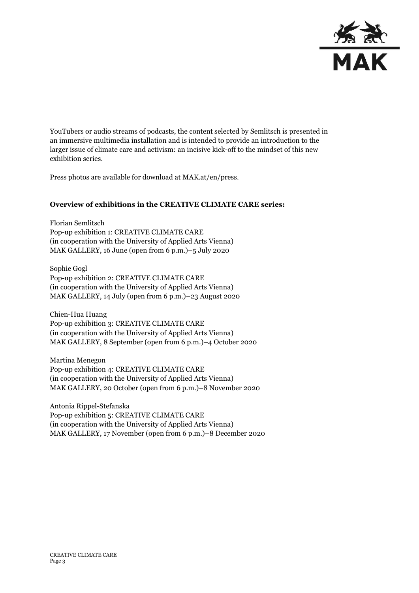

YouTubers or audio streams of podcasts, the content selected by Semlitsch is presented in an immersive multimedia installation and is intended to provide an introduction to the larger issue of climate care and activism: an incisive kick-off to the mindset of this new exhibition series.

Press photos are available for download at MAK.at/en/press.

## **Overview of exhibitions in the CREATIVE CLIMATE CARE series:**

Florian Semlitsch Pop-up exhibition 1: CREATIVE CLIMATE CARE (in cooperation with the University of Applied Arts Vienna) MAK GALLERY, 16 June (open from 6 p.m.)–5 July 2020

Sophie Gogl Pop-up exhibition 2: CREATIVE CLIMATE CARE (in cooperation with the University of Applied Arts Vienna) MAK GALLERY, 14 July (open from 6 p.m.)–23 August 2020

Chien-Hua Huang Pop-up exhibition 3: CREATIVE CLIMATE CARE (in cooperation with the University of Applied Arts Vienna) MAK GALLERY, 8 September (open from 6 p.m.)–4 October 2020

Martina Menegon Pop-up exhibition 4: CREATIVE CLIMATE CARE (in cooperation with the University of Applied Arts Vienna) MAK GALLERY, 20 October (open from 6 p.m.)–8 November 2020

Antonia Rippel-Stefanska Pop-up exhibition 5: CREATIVE CLIMATE CARE (in cooperation with the University of Applied Arts Vienna) MAK GALLERY, 17 November (open from 6 p.m.)–8 December 2020